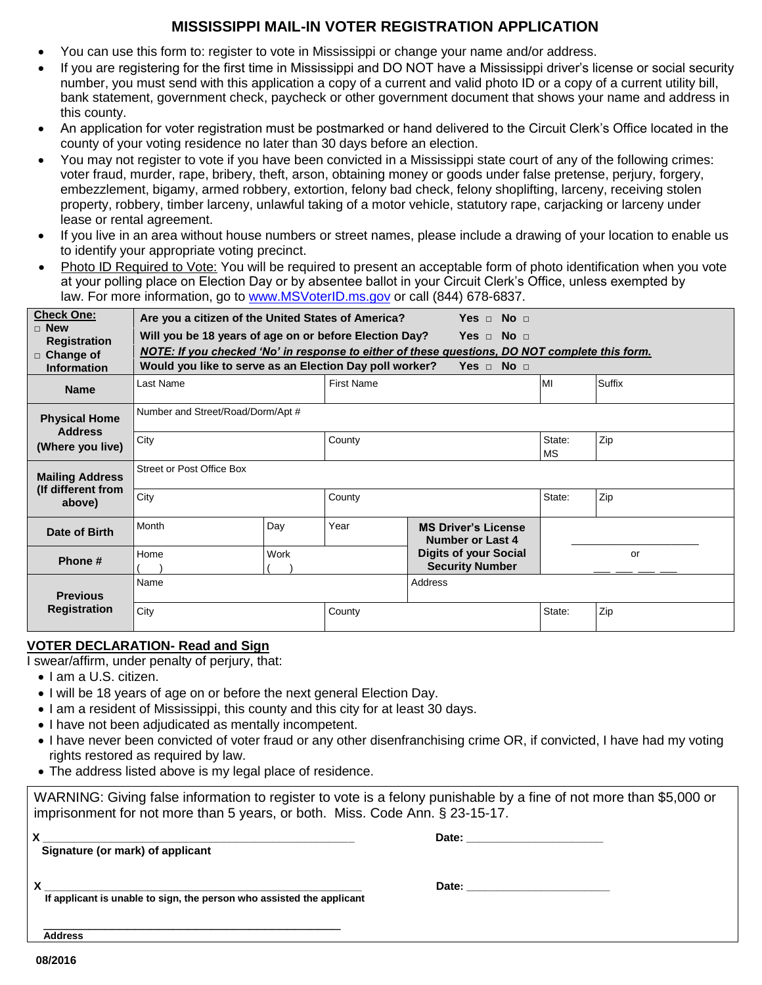## **MISSISSIPPI MAIL-IN VOTER REGISTRATION APPLICATION**

- You can use this form to: register to vote in Mississippi or change your name and/or address.
- If you are registering for the first time in Mississippi and DO NOT have a Mississippi driver's license or social security number, you must send with this application a copy of a current and valid photo ID or a copy of a current utility bill, bank statement, government check, paycheck or other government document that shows your name and address in this county.
- An application for voter registration must be postmarked or hand delivered to the Circuit Clerk's Office located in the county of your voting residence no later than 30 days before an election.
- You may not register to vote if you have been convicted in a Mississippi state court of any of the following crimes: voter fraud, murder, rape, bribery, theft, arson, obtaining money or goods under false pretense, perjury, forgery, embezzlement, bigamy, armed robbery, extortion, felony bad check, felony shoplifting, larceny, receiving stolen property, robbery, timber larceny, unlawful taking of a motor vehicle, statutory rape, carjacking or larceny under lease or rental agreement.
- If you live in an area without house numbers or street names, please include a drawing of your location to enable us to identify your appropriate voting precinct.
- Photo ID Required to Vote: You will be required to present an acceptable form of photo identification when you vote at your polling place on Election Day or by absentee ballot in your Circuit Clerk's Office, unless exempted by law. For more information, go to [www.MSVoterID.ms.gov](http://www.msvoterid.ms.gov/) or call (844) 678-6837.

| <b>Check One:</b><br>$\Box$ New<br><b>Registration</b><br>$\Box$ Change of | Are you a citizen of the United States of America?<br>Yes $\Box$ No $\Box$<br>Yes $\Box$ No $\Box$<br>Will you be 18 years of age on or before Election Day?<br>NOTE: If you checked 'No' in response to either of these questions, DO NOT complete this form.<br>Would you like to serve as an Election Day poll worker?<br>Yes $\Box$ No $\Box$ |      |                   |                                                        |                     |        |  |
|----------------------------------------------------------------------------|---------------------------------------------------------------------------------------------------------------------------------------------------------------------------------------------------------------------------------------------------------------------------------------------------------------------------------------------------|------|-------------------|--------------------------------------------------------|---------------------|--------|--|
| <b>Information</b>                                                         | Last Name                                                                                                                                                                                                                                                                                                                                         |      | <b>First Name</b> |                                                        | MI                  | Suffix |  |
| <b>Name</b>                                                                |                                                                                                                                                                                                                                                                                                                                                   |      |                   |                                                        |                     |        |  |
| <b>Physical Home</b><br><b>Address</b>                                     | Number and Street/Road/Dorm/Apt #                                                                                                                                                                                                                                                                                                                 |      |                   |                                                        |                     |        |  |
| (Where you live)                                                           | City                                                                                                                                                                                                                                                                                                                                              |      | County            |                                                        | State:<br><b>MS</b> | Zip    |  |
| <b>Mailing Address</b><br>(If different from<br>above)                     | Street or Post Office Box                                                                                                                                                                                                                                                                                                                         |      |                   |                                                        |                     |        |  |
|                                                                            | City                                                                                                                                                                                                                                                                                                                                              |      | County            |                                                        | State:              | Zip    |  |
| Date of Birth                                                              | Month                                                                                                                                                                                                                                                                                                                                             | Day  | Year              | <b>MS Driver's License</b><br>Number or Last 4         |                     |        |  |
| Phone #                                                                    | Home                                                                                                                                                                                                                                                                                                                                              | Work |                   | <b>Digits of your Social</b><br><b>Security Number</b> |                     | or     |  |
| <b>Previous</b><br><b>Registration</b>                                     | Name                                                                                                                                                                                                                                                                                                                                              |      |                   | Address                                                |                     |        |  |
|                                                                            | City                                                                                                                                                                                                                                                                                                                                              |      | County            |                                                        | State:              | Zip    |  |

## **VOTER DECLARATION- Read and Sign**

I swear/affirm, under penalty of perjury, that:

- I am a U.S. citizen.
- I will be 18 years of age on or before the next general Election Day.
- I am a resident of Mississippi, this county and this city for at least 30 days.
- I have not been adjudicated as mentally incompetent.
- I have never been convicted of voter fraud or any other disenfranchising crime OR, if convicted, I have had my voting rights restored as required by law.
- The address listed above is my legal place of residence.

WARNING: Giving false information to register to vote is a felony punishable by a fine of not more than \$5,000 or imprisonment for not more than 5 years, or both. Miss. Code Ann. § 23-15-17.

| v<br>A<br>Signature (or mark) of applicant                                      | Date:                           |
|---------------------------------------------------------------------------------|---------------------------------|
| v<br>Λ<br>If applicant is unable to sign, the person who assisted the applicant | Date: _________________________ |
| <b>Address</b>                                                                  |                                 |